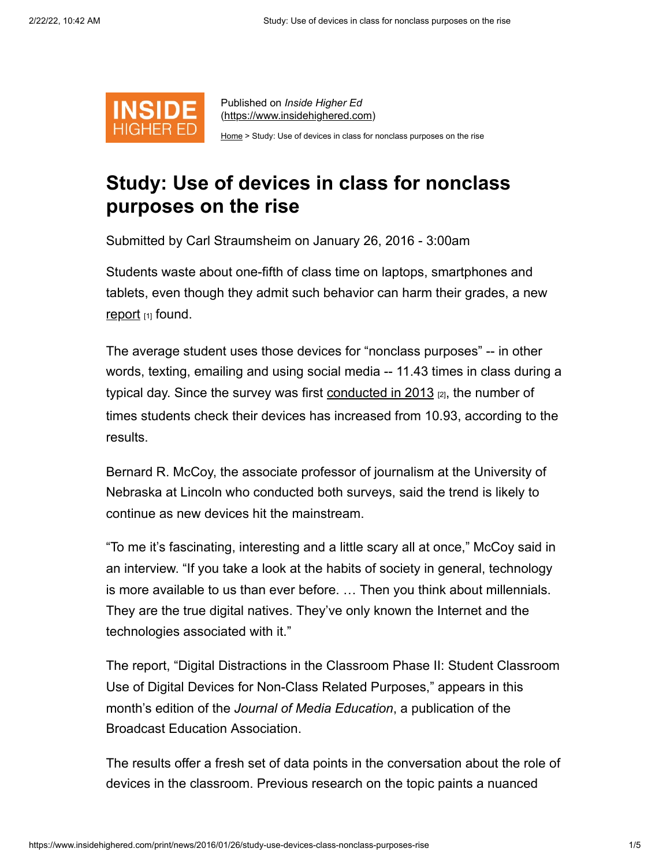

Published on *Inside Higher Ed* [\(https://www.insidehighered.com](https://www.insidehighered.com/))

[Home](https://www.insidehighered.com/) > Study: Use of devices in class for nonclass purposes on the rise

## **Study: Use of devices in class for nonclass purposes on the rise**

Submitted by Carl Straumsheim on January 26, 2016 - 3:00am

Students waste about one-fifth of class time on laptops, smartphones and tablets, even though they admit such behavior can harm their grades, a new [report](http://en.calameo.com/read/00009178915b8f5b352ba)  $_{[1]}$  found.

The average student uses those devices for "nonclass purposes" -- in other words, texting, emailing and using social media -- 11.43 times in class during a typical day. Since the survey was first conducted in  $2013$   $_{[2]}$ , the number of times students check their devices has increased from 10.93, according to the results.

Bernard R. McCoy, the associate professor of journalism at the University of Nebraska at Lincoln who conducted both surveys, said the trend is likely to continue as new devices hit the mainstream.

"To me it's fascinating, interesting and a little scary all at once," McCoy said in an interview. "If you take a look at the habits of society in general, technology is more available to us than ever before. … Then you think about millennials. They are the true digital natives. They've only known the Internet and the technologies associated with it."

The report, "Digital Distractions in the Classroom Phase II: Student Classroom Use of Digital Devices for Non-Class Related Purposes," appears in this month's edition of the *Journal of Media Education*, a publication of the Broadcast Education Association.

The results offer a fresh set of data points in the conversation about the role of devices in the classroom. Previous research on the topic paints a nuanced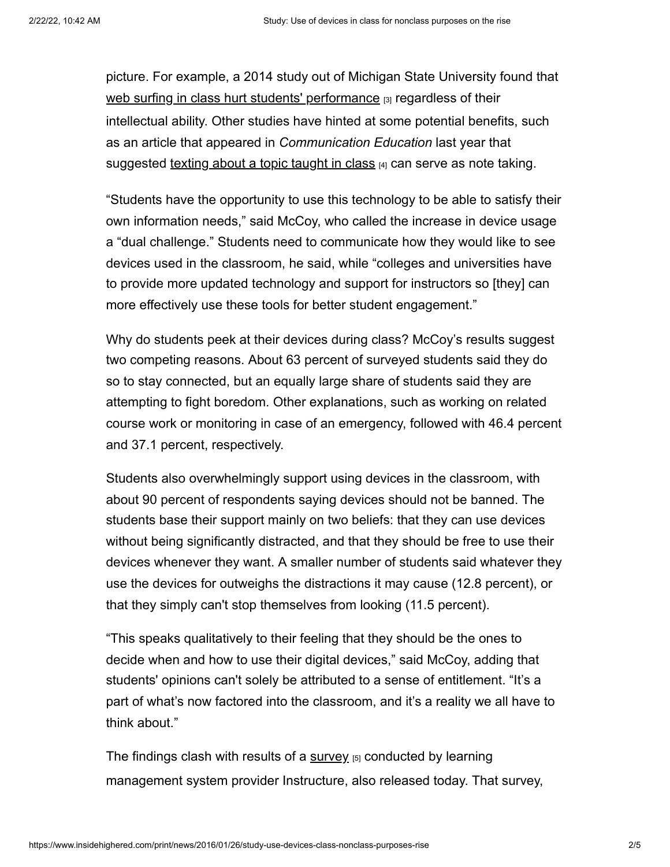picture. For example, a 2014 study out of Michigan State University found that [web surfing in class hurt students' performance](https://www.insidehighered.com/quicktakes/2014/06/18/study-web-surfing-class-hurts-top-students-too) [3] regardless of their intellectual ability. Other studies have hinted at some potential benefits, such as an article that appeared in *Communication Education* last year that suggested [texting about a topic taught in class](https://www.insidehighered.com/news/2015/06/08/study-examines-impact-texting-and-tweeting-academic-performance)  $A_1$  can serve as note taking.

"Students have the opportunity to use this technology to be able to satisfy their own information needs," said McCoy, who called the increase in device usage a "dual challenge." Students need to communicate how they would like to see devices used in the classroom, he said, while "colleges and universities have to provide more updated technology and support for instructors so [they] can more effectively use these tools for better student engagement."

Why do students peek at their devices during class? McCoy's results suggest two competing reasons. About 63 percent of surveyed students said they do so to stay connected, but an equally large share of students said they are attempting to fight boredom. Other explanations, such as working on related course work or monitoring in case of an emergency, followed with 46.4 percent and 37.1 percent, respectively.

Students also overwhelmingly support using devices in the classroom, with about 90 percent of respondents saying devices should not be banned. The students base their support mainly on two beliefs: that they can use devices without being significantly distracted, and that they should be free to use their devices whenever they want. A smaller number of students said whatever they use the devices for outweighs the distractions it may cause (12.8 percent), or that they simply can't stop themselves from looking (11.5 percent).

"This speaks qualitatively to their feeling that they should be the ones to decide when and how to use their digital devices," said McCoy, adding that students' opinions can't solely be attributed to a sense of entitlement. "It's a part of what's now factored into the classroom, and it's a reality we all have to think about."

The findings clash with results of a  $\frac{\text{survey}}{\text{5}}$  $\frac{\text{survey}}{\text{5}}$  $\frac{\text{survey}}{\text{5}}$  conducted by learning management system provider Instructure, also released today. That survey,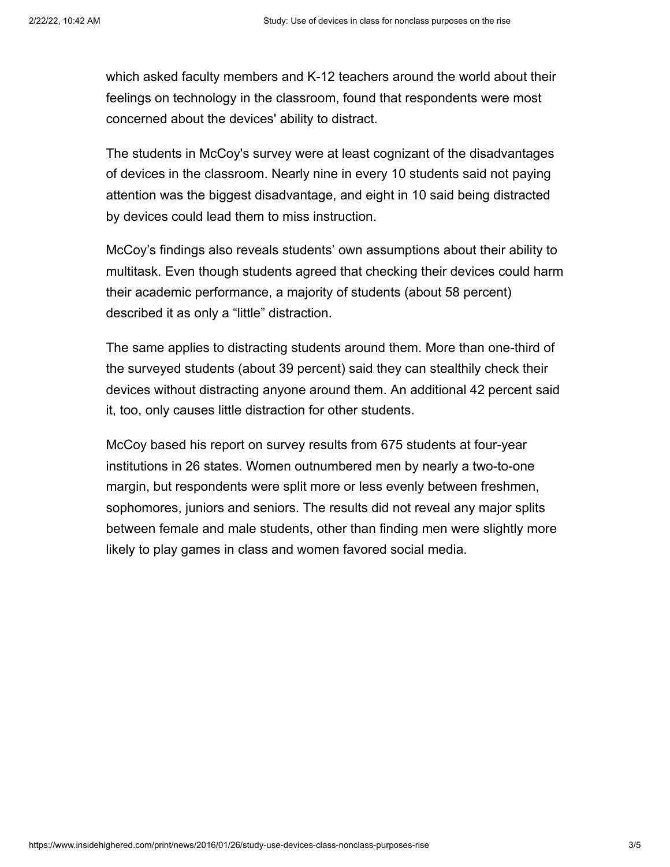which asked faculty members and K-12 teachers around the world about their feelings on technology in the classroom, found that respondents were most concerned about the devices' ability to distract.

The students in McCoy's survey were at least cognizant of the disadvantages of devices in the classroom. Nearly nine in every 10 students said not paying attention was the biggest disadvantage, and eight in 10 said being distracted by devices could lead them to miss instruction.

McCoy's findings also reveals students' own assumptions about their ability to multitask. Even though students agreed that checking their devices could harm their academic performance, a majority of students (about 58 percent) described it as only a "little" distraction.

The same applies to distracting students around them. More than one-third of the surveyed students (about 39 percent) said they can stealthily check their devices without distracting anyone around them. An additional 42 percent said it, too, only causes little distraction for other students.

McCoy based his report on survey results from 675 students at four-year institutions in 26 states. Women outnumbered men by nearly a two-to-one margin, but respondents were split more or less evenly between freshmen, sophomores, juniors and seniors. The results did not reveal any major splits between female and male students, other than finding men were slightly more likely to play games in class and women favored social media.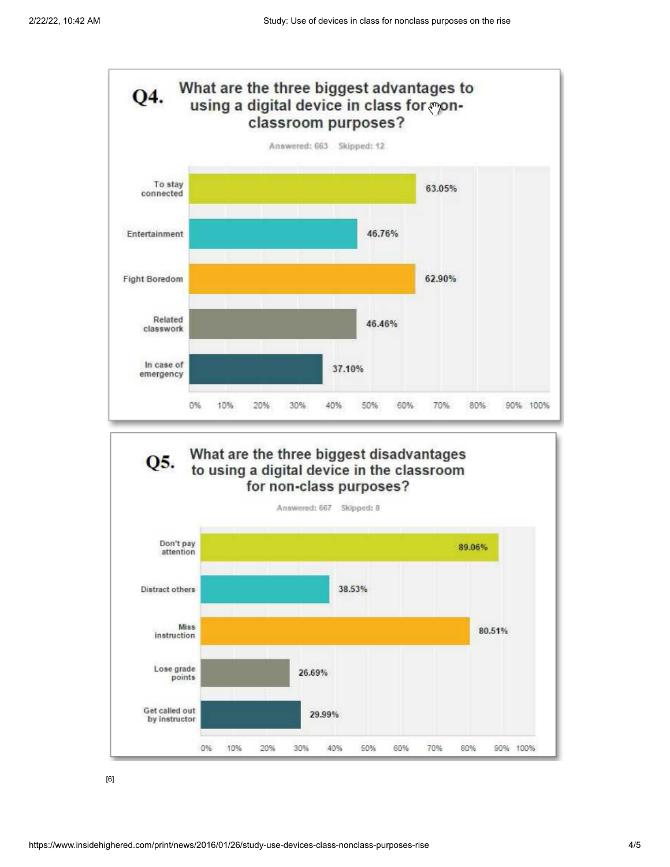

[6]